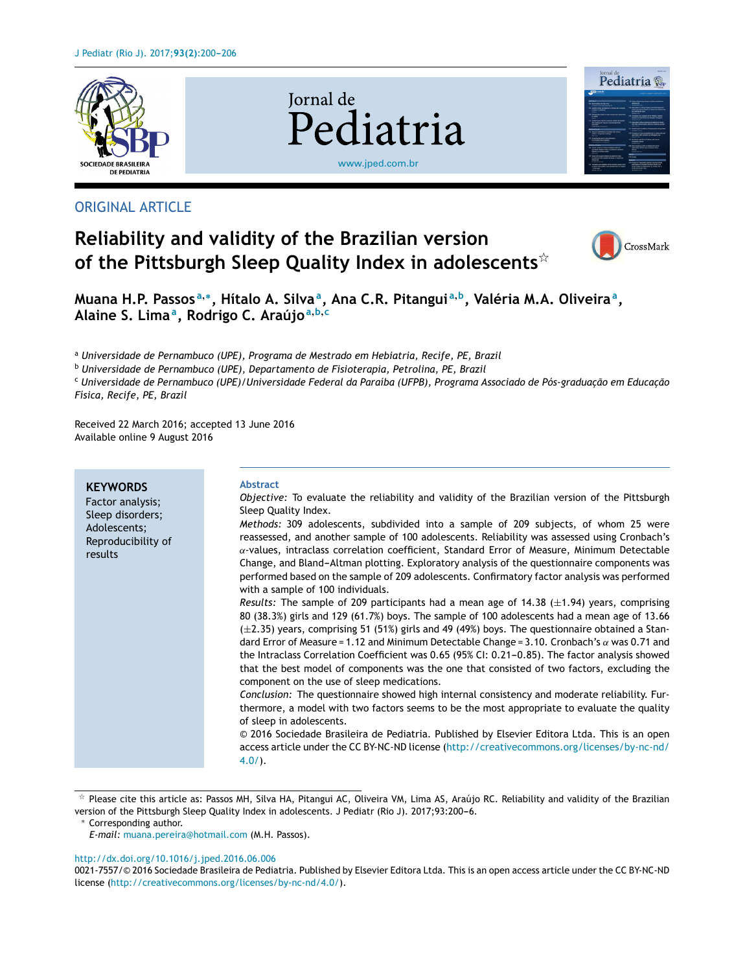

# ORIGINAL ARTICLE

# **Iornal** de Pediatria [www.jped.com.br](http://www.jped.com.br)







Muana H.P. Passos<sup>a,</sup>\*, Hítalo A. Silva<sup>a</sup>, Ana C.R. Pitangui<sup>a,b</sup>, Valéria M.A. Oliveira<sup>a</sup>, **Alaine S. Lima<sup>a</sup> , Rodrigo C. Araújo<sup>a</sup>**,**b**,**<sup>c</sup>**

<sup>a</sup> *Universidade de Pernambuco (UPE), Programa de Mestrado em Hebiatria, Recife, PE, Brazil*

<sup>b</sup> *Universidade de Pernambuco (UPE), Departamento de Fisioterapia, Petrolina, PE, Brazil*

<sup>c</sup> *Universidade de Pernambuco (UPE)/Universidade Federal da Paraíba (UFPB), Programa Associado de Pós-graduac¸ão em Educac¸ão Física, Recife, PE, Brazil*

Received 22 March 2016; accepted 13 June 2016 Available online 9 August 2016

| <b>KEYWORDS</b><br>Factor analysis;<br>Sleep disorders;<br>Adolescents;<br>Reproducibility of<br>results | <b>Abstract</b><br>Objective: To evaluate the reliability and validity of the Brazilian version of the Pittsburgh<br>Sleep Quality Index.<br>Methods: 309 adolescents, subdivided into a sample of 209 subjects, of whom 25 were<br>reassessed, and another sample of 100 adolescents. Reliability was assessed using Cronbach's<br>$\alpha$ -values, intraclass correlation coefficient, Standard Error of Measure, Minimum Detectable<br>Change, and Bland-Altman plotting. Exploratory analysis of the questionnaire components was<br>performed based on the sample of 209 adolescents. Confirmatory factor analysis was performed<br>with a sample of 100 individuals.<br>Results: The sample of 209 participants had a mean age of 14.38 ( $\pm$ 1.94) years, comprising<br>80 (38.3%) girls and 129 (61.7%) boys. The sample of 100 adolescents had a mean age of 13.66<br>$(\pm 2.35)$ years, comprising 51 (51%) girls and 49 (49%) boys. The questionnaire obtained a Stan-<br>dard Error of Measure = 1.12 and Minimum Detectable Change = 3.10. Cronbach's $\alpha$ was 0.71 and<br>the Intraclass Correlation Coefficient was 0.65 (95% CI: 0.21-0.85). The factor analysis showed<br>that the best model of components was the one that consisted of two factors, excluding the<br>component on the use of sleep medications.<br>Conclusion: The questionnaire showed high internal consistency and moderate reliability. Fur-<br>thermore, a model with two factors seems to be the most appropriate to evaluate the quality<br>of sleep in adolescents. |
|----------------------------------------------------------------------------------------------------------|-------------------------------------------------------------------------------------------------------------------------------------------------------------------------------------------------------------------------------------------------------------------------------------------------------------------------------------------------------------------------------------------------------------------------------------------------------------------------------------------------------------------------------------------------------------------------------------------------------------------------------------------------------------------------------------------------------------------------------------------------------------------------------------------------------------------------------------------------------------------------------------------------------------------------------------------------------------------------------------------------------------------------------------------------------------------------------------------------------------------------------------------------------------------------------------------------------------------------------------------------------------------------------------------------------------------------------------------------------------------------------------------------------------------------------------------------------------------------------------------------------------------------------------------------------------------------|
|                                                                                                          | © 2016 Sociedade Brasileira de Pediatria. Published by Elsevier Editora Ltda. This is an open<br>access article under the CC BY-NC-ND license (http://creativecommons.org/licenses/by-nc-nd/<br>$4.0/$ ).                                                                                                                                                                                                                                                                                                                                                                                                                                                                                                                                                                                                                                                                                                                                                                                                                                                                                                                                                                                                                                                                                                                                                                                                                                                                                                                                                               |

 $*$  Please cite this article as: Passos MH, Silva HA, Pitangui AC, Oliveira VM, Lima AS, Araújo RC. Reliability and validity of the Brazilian version of the Pittsburgh Sleep Quality Index in adolescents. J Pediatr (Rio J). 2017;93:200-6.

<sup>∗</sup> Corresponding author.

#### [http://dx.doi.org/10.1016/j.jped.2016.06.006](dx.doi.org/10.1016/j.jped.2016.06.006)

*E-mail:* [muana.pereira@hotmail.com](mailto:muana.pereira@hotmail.com) (M.H. Passos).

<sup>0021-7557/©</sup> 2016 Sociedade Brasileira de Pediatria. Published by Elsevier Editora Ltda. This is an open access article under the CC BY-NC-ND license [\(http://creativecommons.org/licenses/by-nc-nd/4.0/\)](http://creativecommons.org/licenses/by-nc-nd/4.0/).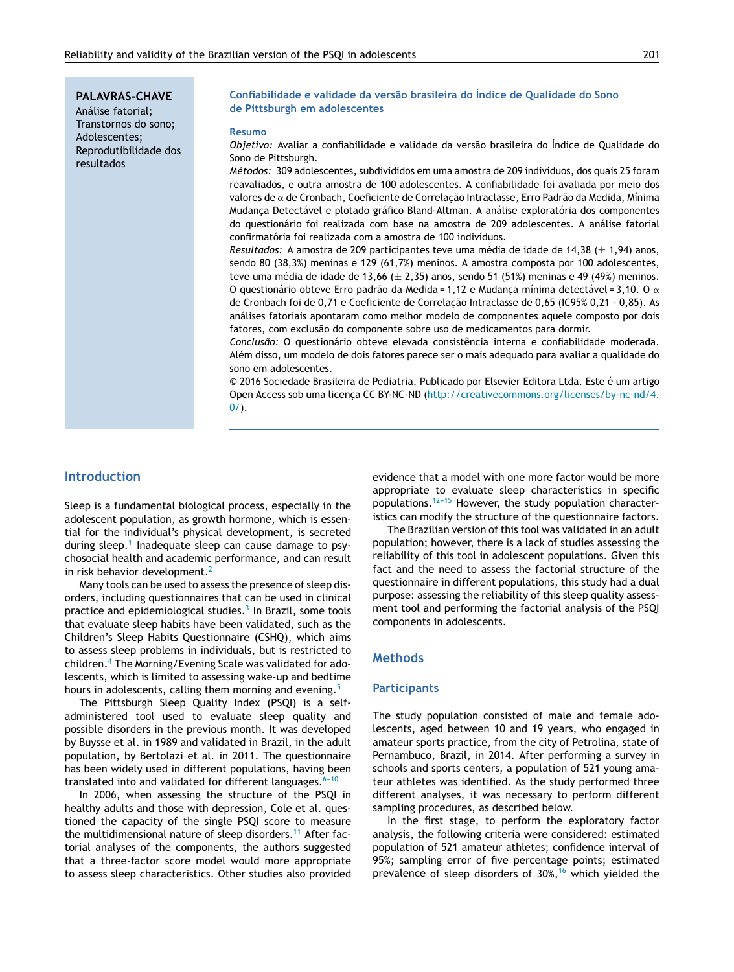**PALAVRAS-CHAVE** Análise fatorial; Transtornos do sono; Adolescentes; Reprodutibilidade dos resultados

#### **Confiabilidade e validade da versão brasileira do Índice de Qualidade do Sono de Pittsburgh em adolescentes**

#### **Resumo**

*Objetivo:* Avaliar a confiabilidade e validade da versão brasileira do Índice de Qualidade do Sono de Pittsburgh.

*Métodos:* 309 adolescentes, subdivididos em uma amostra de 209 indivíduos, dos quais 25 foram reavaliados, e outra amostra de 100 adolescentes. A confiabilidade foi avaliada por meio dos valores de α de Cronbach, Coeficiente de Correlação Intraclasse, Erro Padrão da Medida, Mínima Mudança Detectável e plotado gráfico Bland-Altman. A análise exploratória dos componentes do questionário foi realizada com base na amostra de 209 adolescentes. A análise fatorial confirmatória foi realizada com a amostra de 100 indivíduos.

*Resultados:* A amostra de 209 participantes teve uma média de idade de 14,38 (± 1,94) anos, sendo 80 (38,3%) meninas e 129 (61,7%) meninos. A amostra composta por 100 adolescentes, teve uma média de idade de 13,66  $(\pm 2,35)$  anos, sendo 51 (51%) meninas e 49 (49%) meninos. O questionário obteve Erro padrão da Medida = 1,12 e Mudança mínima detectável = 3,10. O  $\alpha$ de Cronbach foi de 0,71 e Coeficiente de Correlação Intraclasse de 0,65 (IC95% 0,21 - 0,85). As análises fatoriais apontaram como melhor modelo de componentes aquele composto por dois fatores, com exclusão do componente sobre uso de medicamentos para dormir.

*Conclusão:* O questionário obteve elevada consistência interna e confiabilidade moderada. Além disso, um modelo de dois fatores parece ser o mais adequado para avaliar a qualidade do sono em adolescentes.

© 2016 Sociedade Brasileira de Pediatria. Publicado por Elsevier Editora Ltda. Este é um artigo Open Access sob uma licença CC BY-NC-ND [\(http://creativecommons.org/licenses/by-nc-nd/4.](http://creativecommons.org/licenses/by-nc-nd/4.0/)  $0/$ ).

## **Introduction**

Sleep is a fundamental biological process, especially in the adolescent population, as growth hormone, which is essential for the individual's physical development, is secreted during sleep.<sup>[1](#page-5-0)</sup> Inadequate sleep can cause damage to psychosocial health and academic performance, and can result in risk behavior development.<sup>[2](#page-5-0)</sup>

Many tools can be used to assess the presence of sleep disorders, including questionnaires that can be used in clinical practice and epidemiological studies.<sup>[3](#page-5-0)</sup> In Brazil, some tools that evaluate sleep habits have been validated, such as the Children's Sleep Habits Questionnaire (CSHQ), which aims to assess sleep problems in individuals, but is restricted to children.<sup>4</sup> [T](#page-5-0)he Morning/Evening Scale was validated for adolescents, which is limited to assessing wake-up and bedtime hours in adolescents, calling them morning and evening.<sup>[5](#page-5-0)</sup>

The Pittsburgh Sleep Quality Index (PSQI) is a selfadministered tool used to evaluate sleep quality and possible disorders in the previous month. It was developed by Buysse et al. in 1989 and validated in Brazil, in the adult population, by Bertolazi et al. in 2011. The questionnaire has been widely used in different populations, having been translated into and validated for different languages. $6-10$ 

In 2006, when assessing the structure of the PSQI in healthy adults and those with depression, Cole et al. questioned the capacity of the single PSQI score to measure the multidimensional nature of sleep disorders.<sup>[11](#page-5-0)</sup> After factorial analyses of the components, the authors suggested that a three-factor score model would more appropriate to assess sleep characteristics. Other studies also provided evidence that a model with one more factor would be more appropriate to evaluate sleep characteristics in specific populations.<sup>12-15</sup> However, the study population characteristics can modify the structure of the questionnaire factors.

The Brazilian version of this tool was validated in an adult population; however, there is a lack of studies assessing the reliability of this tool in adolescent populations. Given this fact and the need to assess the factorial structure of the questionnaire in different populations, this study had a dual purpose: assessing the reliability of this sleep quality assessment tool and performing the factorial analysis of the PSQI components in adolescents.

## **Methods**

#### **Participants**

The study population consisted of male and female adolescents, aged between 10 and 19 years, who engaged in amateur sports practice, from the city of Petrolina, state of Pernambuco, Brazil, in 2014. After performing a survey in schools and sports centers, a population of 521 young amateur athletes was identified. As the study performed three different analyses, it was necessary to perform different sampling procedures, as described below.

In the first stage, to perform the exploratory factor analysis, the following criteria were considered: estimated population of 521 amateur athletes; confidence interval of 95%; sampling error of five percentage points; estimated prevalence of sleep disorders of  $30\%,^{16}$  $30\%,^{16}$  $30\%,^{16}$  which yielded the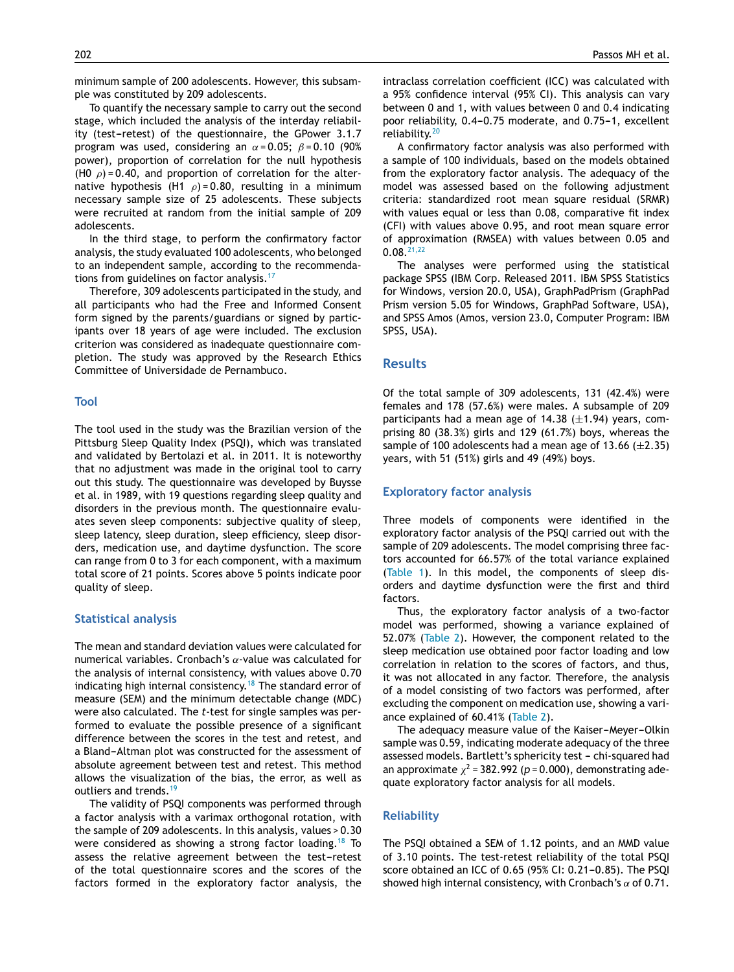minimum sample of 200 adolescents. However, this subsample was constituted by 209 adolescents.

To quantify the necessary sample to carry out the second stage, which included the analysis of the interday reliability (test-retest) of the questionnaire, the GPower 3.1.7 program was used, considering an  $\alpha$  = 0.05;  $\beta$  = 0.10 (90%) power), proportion of correlation for the null hypothesis (H0  $\rho$ ) = 0.40, and proportion of correlation for the alternative hypothesis (H1  $\rho$ ) = 0.80, resulting in a minimum necessary sample size of 25 adolescents. These subjects were recruited at random from the initial sample of 209 adolescents.

In the third stage, to perform the confirmatory factor analysis, the study evaluated 100 adolescents, who belonged to an independent sample, according to the recommenda-tions from guidelines on factor analysis.<sup>[17](#page-5-0)</sup>

Therefore, 309 adolescents participated in the study, and all participants who had the Free and Informed Consent form signed by the parents/guardians or signed by participants over 18 years of age were included. The exclusion criterion was considered as inadequate questionnaire completion. The study was approved by the Research Ethics Committee of Universidade de Pernambuco.

#### **Tool**

The tool used in the study was the Brazilian version of the Pittsburg Sleep Quality Index (PSQI), which was translated and validated by Bertolazi et al. in 2011. It is noteworthy that no adjustment was made in the original tool to carry out this study. The questionnaire was developed by Buysse et al. in 1989, with 19 questions regarding sleep quality and disorders in the previous month. The questionnaire evaluates seven sleep components: subjective quality of sleep, sleep latency, sleep duration, sleep efficiency, sleep disorders, medication use, and daytime dysfunction. The score can range from 0 to 3 for each component, with a maximum total score of 21 points. Scores above 5 points indicate poor quality of sleep.

## **Statistical analysis**

The mean and standard deviation values were calculated for numerical variables. Cronbach's  $\alpha$ -value was calculated for the analysis of internal consistency, with values above 0.70 indicating high internal consistency.<sup>[18](#page-5-0)</sup> The standard error of measure (SEM) and the minimum detectable change (MDC) were also calculated. The *t*-test for single samples was performed to evaluate the possible presence of a significant difference between the scores in the test and retest, and a Bland-Altman plot was constructed for the assessment of absolute agreement between test and retest. This method allows the visualization of the bias, the error, as well as outliers and trends.<sup>[19](#page-5-0)</sup>

The validity of PSQI components was performed through a factor analysis with a varimax orthogonal rotation, with the sample of 209 adolescents. In this analysis, values > 0.30 were considered as showing a strong factor loading.<sup>[18](#page-5-0)</sup> To assess the relative agreement between the test-retest of the total questionnaire scores and the scores of the factors formed in the exploratory factor analysis, the

intraclass correlation coefficient (ICC) was calculated with a 95% confidence interval (95% CI). This analysis can vary between 0 and 1, with values between 0 and 0.4 indicating poor reliability, 0.4-0.75 moderate, and 0.75-1, excellent reliability.[20](#page-6-0)

A confirmatory factor analysis was also performed with a sample of 100 individuals, based on the models obtained from the exploratory factor analysis. The adequacy of the model was assessed based on the following adjustment criteria: standardized root mean square residual (SRMR) with values equal or less than 0.08, comparative fit index (CFI) with values above 0.95, and root mean square error of approximation (RMSEA) with values between 0.05 and 0.08.[21,22](#page-6-0)

The analyses were performed using the statistical package SPSS (IBM Corp. Released 2011. IBM SPSS Statistics for Windows, version 20.0, USA), GraphPadPrism (GraphPad Prism version 5.05 for Windows, GraphPad Software, USA), and SPSS Amos (Amos, version 23.0, Computer Program: IBM SPSS, USA).

#### **Results**

Of the total sample of 309 adolescents, 131 (42.4%) were females and 178 (57.6%) were males. A subsample of 209 participants had a mean age of  $14.38$  ( $\pm$ 1.94) years, comprising 80 (38.3%) girls and 129 (61.7%) boys, whereas the sample of 100 adolescents had a mean age of 13.66  $(\pm 2.35)$ years, with 51 (51%) girls and 49 (49%) boys.

### **Exploratory factor analysis**

Three models of components were identified in the exploratory factor analysis of the PSQI carried out with the sample of 209 adolescents. The model comprising three factors accounted for 66.57% of the total variance explained [\(Table](#page-3-0) 1). In this model, the components of sleep disorders and daytime dysfunction were the first and third factors.

Thus, the exploratory factor analysis of a two-factor model was performed, showing a variance explained of 52.07% [\(Table](#page-3-0) 2). However, the component related to the sleep medication use obtained poor factor loading and low correlation in relation to the scores of factors, and thus, it was not allocated in any factor. Therefore, the analysis of a model consisting of two factors was performed, after excluding the component on medication use, showing a variance explained of 60.41% ([Table](#page-3-0) 2).

The adequacy measure value of the Kaiser-Meyer-Olkin sample was 0.59, indicating moderate adequacy of the three assessed models. Bartlett's sphericity test - chi-squared had an approximate  $\chi^2$  = 382.992 ( $p$  = 0.000), demonstrating adequate exploratory factor analysis for all models.

### **Reliability**

The PSQI obtained a SEM of 1.12 points, and an MMD value of 3.10 points. The test-retest reliability of the total PSQI score obtained an ICC of 0.65 (95% CI: 0.21-0.85). The PSQI showed high internal consistency, with Cronbach's  $\alpha$  of 0.71.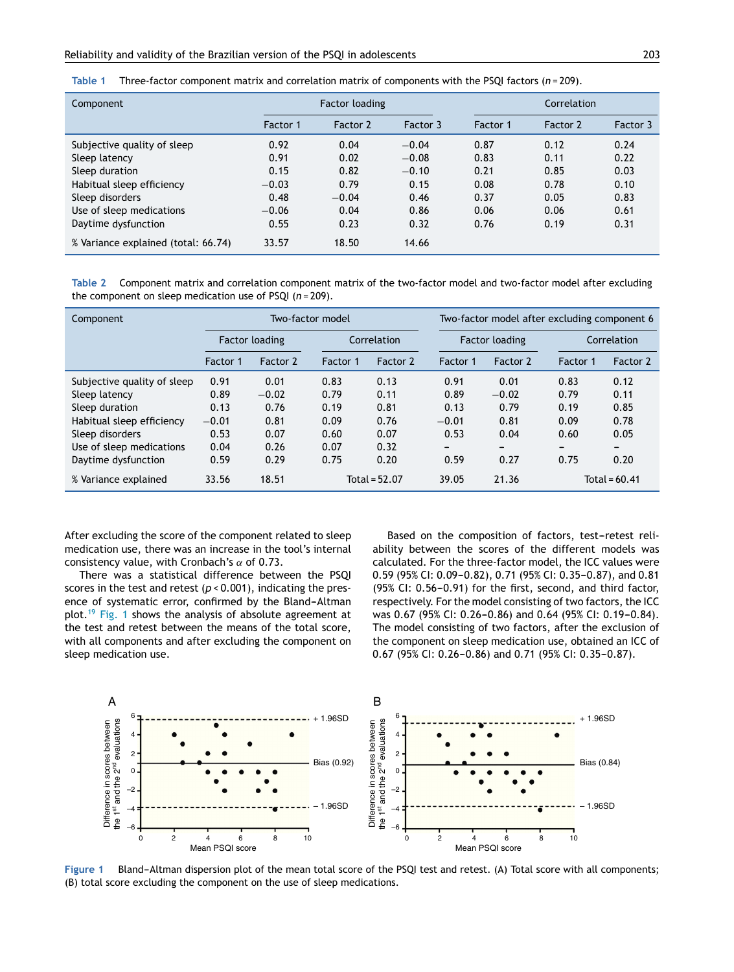<span id="page-3-0"></span>

| Table 1 | Three-factor component matrix and correlation matrix of components with the PSQI factors ( $n = 209$ ). |  |  |  |
|---------|---------------------------------------------------------------------------------------------------------|--|--|--|
|         |                                                                                                         |  |  |  |

| Component                           | Factor loading |          |          | Correlation |          |          |
|-------------------------------------|----------------|----------|----------|-------------|----------|----------|
|                                     | Factor 1       | Factor 2 | Factor 3 | Factor 1    | Factor 2 | Factor 3 |
| Subjective quality of sleep         | 0.92           | 0.04     | $-0.04$  | 0.87        | 0.12     | 0.24     |
| Sleep latency                       | 0.91           | 0.02     | $-0.08$  | 0.83        | 0.11     | 0.22     |
| Sleep duration                      | 0.15           | 0.82     | $-0.10$  | 0.21        | 0.85     | 0.03     |
| Habitual sleep efficiency           | $-0.03$        | 0.79     | 0.15     | 0.08        | 0.78     | 0.10     |
| Sleep disorders                     | 0.48           | $-0.04$  | 0.46     | 0.37        | 0.05     | 0.83     |
| Use of sleep medications            | $-0.06$        | 0.04     | 0.86     | 0.06        | 0.06     | 0.61     |
| Daytime dysfunction                 | 0.55           | 0.23     | 0.32     | 0.76        | 0.19     | 0.31     |
| % Variance explained (total: 66.74) | 33.57          | 18.50    | 14.66    |             |          |          |

**Table 2** Component matrix and correlation component matrix of the two-factor model and two-factor model after excluding the component on sleep medication use of PSQI (*n* = 209).

| Component                   | Two-factor model |          |             |                 | Two-factor model after excluding component 6 |          |             |                 |
|-----------------------------|------------------|----------|-------------|-----------------|----------------------------------------------|----------|-------------|-----------------|
|                             | Factor loading   |          | Correlation |                 | <b>Factor loading</b>                        |          | Correlation |                 |
|                             | Factor 1         | Factor 2 | Factor 1    | Factor 2        | Factor 1                                     | Factor 2 | Factor 1    | Factor 2        |
| Subjective quality of sleep | 0.91             | 0.01     | 0.83        | 0.13            | 0.91                                         | 0.01     | 0.83        | 0.12            |
| Sleep latency               | 0.89             | $-0.02$  | 0.79        | 0.11            | 0.89                                         | $-0.02$  | 0.79        | 0.11            |
| Sleep duration              | 0.13             | 0.76     | 0.19        | 0.81            | 0.13                                         | 0.79     | 0.19        | 0.85            |
| Habitual sleep efficiency   | $-0.01$          | 0.81     | 0.09        | 0.76            | $-0.01$                                      | 0.81     | 0.09        | 0.78            |
| Sleep disorders             | 0.53             | 0.07     | 0.60        | 0.07            | 0.53                                         | 0.04     | 0.60        | 0.05            |
| Use of sleep medications    | 0.04             | 0.26     | 0.07        | 0.32            | -                                            |          | -           | -               |
| Daytime dysfunction         | 0.59             | 0.29     | 0.75        | 0.20            | 0.59                                         | 0.27     | 0.75        | 0.20            |
| % Variance explained        | 33.56            | 18.51    |             | Total = $52.07$ | 39.05                                        | 21.36    |             | Total = $60.41$ |

After excluding the score of the component related to sleep medication use, there was an increase in the tool's internal consistency value, with Cronbach's  $\alpha$  of 0.73.

There was a statistical difference between the PSQI scores in the test and retest (*p* < 0.001), indicating the presence of systematic error, confirmed by the Bland-Altman plot.<sup>[19](#page-5-0)</sup> Fig. 1 shows the analysis of absolute agreement at the test and retest between the means of the total score, with all components and after excluding the component on sleep medication use.

Based on the composition of factors, test-retest reliability between the scores of the different models was calculated. For the three-factor model, the ICC values were 0.59 (95% CI: 0.09-0.82), 0.71 (95% CI: 0.35-0.87), and 0.81  $(95\%$  CI: 0.56-0.91) for the first, second, and third factor, respectively. For the model consisting of two factors, the ICC was 0.67 (95% CI: 0.26-0.86) and 0.64 (95% CI: 0.19-0.84). The model consisting of two factors, after the exclusion of the component on sleep medication use, obtained an ICC of  $0.67$  (95% CI: 0.26-0.86) and 0.71 (95% CI: 0.35-0.87).



Figure 1 Bland-Altman dispersion plot of the mean total score of the PSQI test and retest. (A) Total score with all components; (B) total score excluding the component on the use of sleep medications.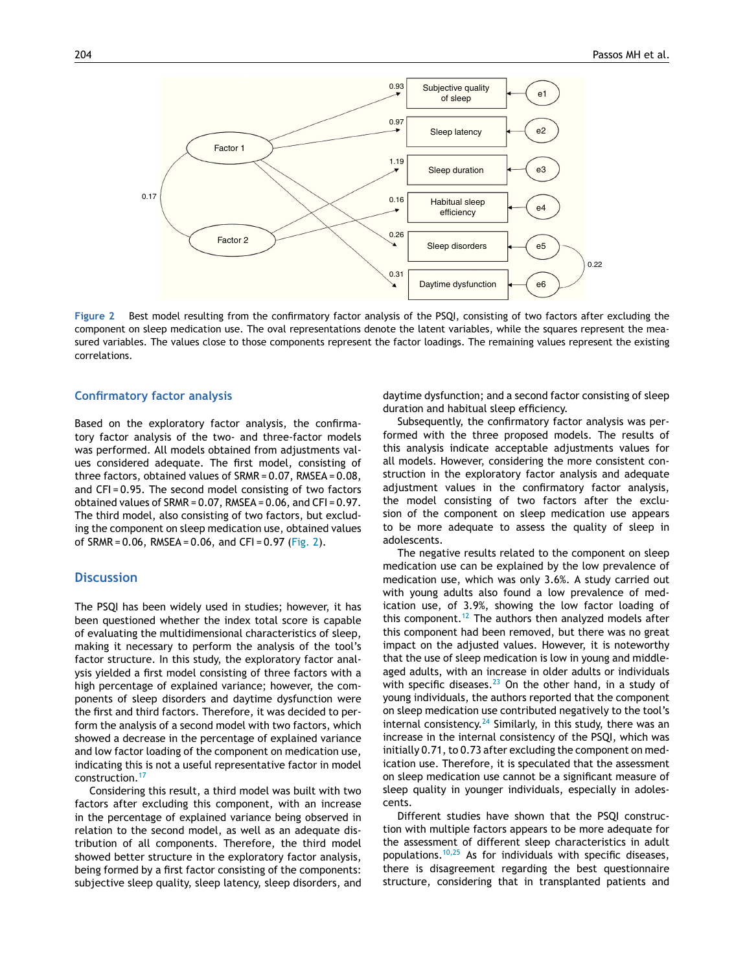

**Figure 2** Best model resulting from the confirmatory factor analysis of the PSQI, consisting of two factors after excluding the component on sleep medication use. The oval representations denote the latent variables, while the squares represent the measured variables. The values close to those components represent the factor loadings. The remaining values represent the existing correlations.

## **Confirmatory factor analysis**

Based on the exploratory factor analysis, the confirmatory factor analysis of the two- and three-factor models was performed. All models obtained from adjustments values considered adequate. The first model, consisting of three factors, obtained values of SRMR = 0.07, RMSEA = 0.08, and CFI = 0.95. The second model consisting of two factors obtained values of SRMR = 0.07, RMSEA = 0.06, and CFI = 0.97. The third model, also consisting of two factors, but excluding the component on sleep medication use, obtained values of SRMR =  $0.06$ , RMSEA =  $0.06$ , and CFI =  $0.97$  (Fig. 2).

## **Discussion**

The PSQI has been widely used in studies; however, it has been questioned whether the index total score is capable of evaluating the multidimensional characteristics of sleep, making it necessary to perform the analysis of the tool's factor structure. In this study, the exploratory factor analysis yielded a first model consisting of three factors with a high percentage of explained variance; however, the components of sleep disorders and daytime dysfunction were the first and third factors. Therefore, it was decided to perform the analysis of a second model with two factors, which showed a decrease in the percentage of explained variance and low factor loading of the component on medication use, indicating this is not a useful representative factor in model construction.[17](#page-5-0)

Considering this result, a third model was built with two factors after excluding this component, with an increase in the percentage of explained variance being observed in relation to the second model, as well as an adequate distribution of all components. Therefore, the third model showed better structure in the exploratory factor analysis, being formed by a first factor consisting of the components: subjective sleep quality, sleep latency, sleep disorders, and daytime dysfunction; and a second factor consisting of sleep duration and habitual sleep efficiency.

Subsequently, the confirmatory factor analysis was performed with the three proposed models. The results of this analysis indicate acceptable adjustments values for all models. However, considering the more consistent construction in the exploratory factor analysis and adequate adjustment values in the confirmatory factor analysis, the model consisting of two factors after the exclusion of the component on sleep medication use appears to be more adequate to assess the quality of sleep in adolescents.

The negative results related to the component on sleep medication use can be explained by the low prevalence of medication use, which was only 3.6%. A study carried out with young adults also found a low prevalence of medication use, of 3.9%, showing the low factor loading of this component.<sup>[12](#page-5-0)</sup> The authors then analyzed models after this component had been removed, but there was no great impact on the adjusted values. However, it is noteworthy that the use of sleep medication is low in young and middleaged adults, with an increase in older adults or individuals with specific diseases. $^{23}$  $^{23}$  $^{23}$  On the other hand, in a study of young individuals, the authors reported that the component on sleep medication use contributed negatively to the tool's internal consistency. $24$  Similarly, in this study, there was an increase in the internal consistency of the PSQI, which was initially 0.71, to 0.73 after excluding the component on medication use. Therefore, it is speculated that the assessment on sleep medication use cannot be a significant measure of sleep quality in younger individuals, especially in adolescents.

Different studies have shown that the PSQI construction with multiple factors appears to be more adequate for the assessment of different sleep characteristics in adult populations.<sup>[10,25](#page-5-0)</sup> As for individuals with specific diseases, there is disagreement regarding the best questionnaire structure, considering that in transplanted patients and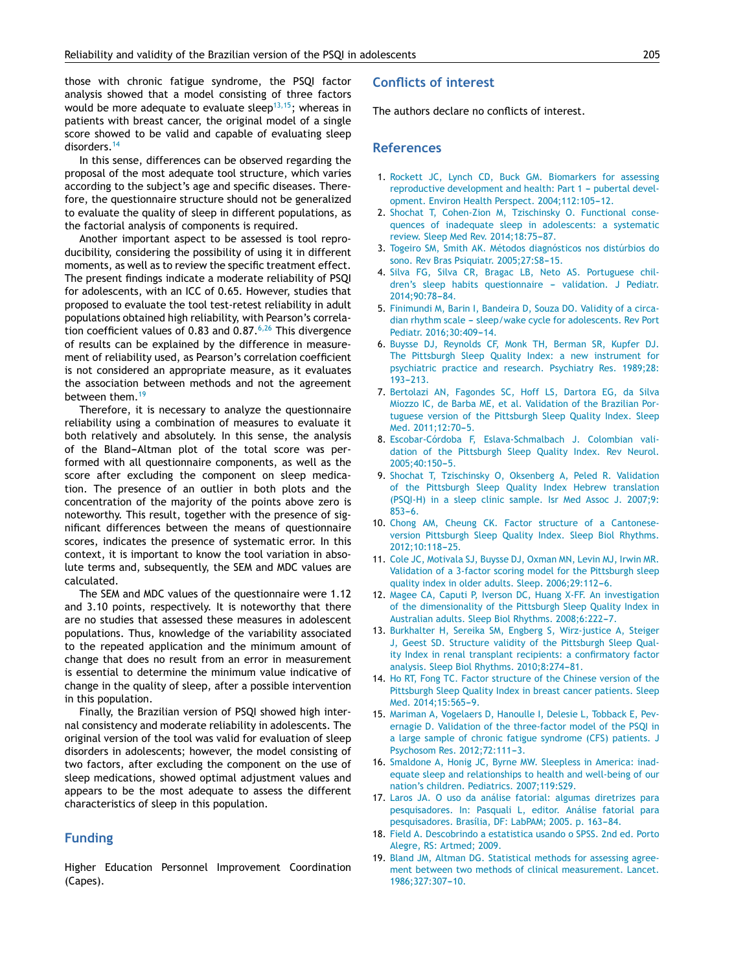<span id="page-5-0"></span>those with chronic fatigue syndrome, the PSQI factor analysis showed that a model consisting of three factors would be more adequate to evaluate sleep $13,15$ ; whereas in patients with breast cancer, the original model of a single score showed to be valid and capable of evaluating sleep disorders.<sup>14</sup>

In this sense, differences can be observed regarding the proposal of the most adequate tool structure, which varies according to the subject's age and specific diseases. Therefore, the questionnaire structure should not be generalized to evaluate the quality of sleep in different populations, as the factorial analysis of components is required.

Another important aspect to be assessed is tool reproducibility, considering the possibility of using it in different moments, as well as to review the specific treatment effect. The present findings indicate a moderate reliability of PSQI for adolescents, with an ICC of 0.65. However, studies that proposed to evaluate the tool test-retest reliability in adult populations obtained high reliability, with Pearson's correlation coefficient values of 0.83 and  $0.87 \cdot 6,26$  This divergence of results can be explained by the difference in measurement of reliability used, as Pearson's correlation coefficient is not considered an appropriate measure, as it evaluates the association between methods and not the agreement between them.<sup>19</sup>

Therefore, it is necessary to analyze the questionnaire reliability using a combination of measures to evaluate it both relatively and absolutely. In this sense, the analysis of the Bland-Altman plot of the total score was performed with all questionnaire components, as well as the score after excluding the component on sleep medication. The presence of an outlier in both plots and the concentration of the majority of the points above zero is noteworthy. This result, together with the presence of significant differences between the means of questionnaire scores, indicates the presence of systematic error. In this context, it is important to know the tool variation in absolute terms and, subsequently, the SEM and MDC values are calculated.

The SEM and MDC values of the questionnaire were 1.12 and 3.10 points, respectively. It is noteworthy that there are no studies that assessed these measures in adolescent populations. Thus, knowledge of the variability associated to the repeated application and the minimum amount of change that does no result from an error in measurement is essential to determine the minimum value indicative of change in the quality of sleep, after a possible intervention in this population.

Finally, the Brazilian version of PSQI showed high internal consistency and moderate reliability in adolescents. The original version of the tool was valid for evaluation of sleep disorders in adolescents; however, the model consisting of two factors, after excluding the component on the use of sleep medications, showed optimal adjustment values and appears to be the most adequate to assess the different characteristics of sleep in this population.

## **Funding**

Higher Education Personnel Improvement Coordination (Capes).

## **Conflicts of interest**

The authors declare no conflicts of interest.

## **References**

- 1. [Rockett](http://refhub.elsevier.com/S0021-7557(16)30100-0/sbref0135) [JC,](http://refhub.elsevier.com/S0021-7557(16)30100-0/sbref0135) [Lynch](http://refhub.elsevier.com/S0021-7557(16)30100-0/sbref0135) [CD,](http://refhub.elsevier.com/S0021-7557(16)30100-0/sbref0135) [Buck](http://refhub.elsevier.com/S0021-7557(16)30100-0/sbref0135) [GM.](http://refhub.elsevier.com/S0021-7557(16)30100-0/sbref0135) [Biomarkers](http://refhub.elsevier.com/S0021-7557(16)30100-0/sbref0135) [for](http://refhub.elsevier.com/S0021-7557(16)30100-0/sbref0135) [assessing](http://refhub.elsevier.com/S0021-7557(16)30100-0/sbref0135) [reproductive](http://refhub.elsevier.com/S0021-7557(16)30100-0/sbref0135) [development](http://refhub.elsevier.com/S0021-7557(16)30100-0/sbref0135) [and](http://refhub.elsevier.com/S0021-7557(16)30100-0/sbref0135) [health:](http://refhub.elsevier.com/S0021-7557(16)30100-0/sbref0135) [Part](http://refhub.elsevier.com/S0021-7557(16)30100-0/sbref0135) [1](http://refhub.elsevier.com/S0021-7557(16)30100-0/sbref0135) - [pubertal](http://refhub.elsevier.com/S0021-7557(16)30100-0/sbref0135) [devel](http://refhub.elsevier.com/S0021-7557(16)30100-0/sbref0135)[opment.](http://refhub.elsevier.com/S0021-7557(16)30100-0/sbref0135) [Environ](http://refhub.elsevier.com/S0021-7557(16)30100-0/sbref0135) [Health](http://refhub.elsevier.com/S0021-7557(16)30100-0/sbref0135) [Perspect.](http://refhub.elsevier.com/S0021-7557(16)30100-0/sbref0135) [2004;112:105](http://refhub.elsevier.com/S0021-7557(16)30100-0/sbref0135)-[12.](http://refhub.elsevier.com/S0021-7557(16)30100-0/sbref0135)
- 2. [Shochat](http://refhub.elsevier.com/S0021-7557(16)30100-0/sbref0140) [T,](http://refhub.elsevier.com/S0021-7557(16)30100-0/sbref0140) [Cohen-Zion](http://refhub.elsevier.com/S0021-7557(16)30100-0/sbref0140) [M,](http://refhub.elsevier.com/S0021-7557(16)30100-0/sbref0140) [Tzischinsky](http://refhub.elsevier.com/S0021-7557(16)30100-0/sbref0140) [O.](http://refhub.elsevier.com/S0021-7557(16)30100-0/sbref0140) [Functional](http://refhub.elsevier.com/S0021-7557(16)30100-0/sbref0140) [conse](http://refhub.elsevier.com/S0021-7557(16)30100-0/sbref0140)[quences](http://refhub.elsevier.com/S0021-7557(16)30100-0/sbref0140) [of](http://refhub.elsevier.com/S0021-7557(16)30100-0/sbref0140) [inadequate](http://refhub.elsevier.com/S0021-7557(16)30100-0/sbref0140) [sleep](http://refhub.elsevier.com/S0021-7557(16)30100-0/sbref0140) [in](http://refhub.elsevier.com/S0021-7557(16)30100-0/sbref0140) [adolescents:](http://refhub.elsevier.com/S0021-7557(16)30100-0/sbref0140) [a](http://refhub.elsevier.com/S0021-7557(16)30100-0/sbref0140) [systematic](http://refhub.elsevier.com/S0021-7557(16)30100-0/sbref0140) [review.](http://refhub.elsevier.com/S0021-7557(16)30100-0/sbref0140) [Sleep](http://refhub.elsevier.com/S0021-7557(16)30100-0/sbref0140) [Med](http://refhub.elsevier.com/S0021-7557(16)30100-0/sbref0140) [Rev.](http://refhub.elsevier.com/S0021-7557(16)30100-0/sbref0140) 2014;18:75-87.
- 3. [Togeiro](http://refhub.elsevier.com/S0021-7557(16)30100-0/sbref0145) [SM,](http://refhub.elsevier.com/S0021-7557(16)30100-0/sbref0145) [Smith](http://refhub.elsevier.com/S0021-7557(16)30100-0/sbref0145) [AK.](http://refhub.elsevier.com/S0021-7557(16)30100-0/sbref0145) [Métodos](http://refhub.elsevier.com/S0021-7557(16)30100-0/sbref0145) [diagnósticos](http://refhub.elsevier.com/S0021-7557(16)30100-0/sbref0145) [nos](http://refhub.elsevier.com/S0021-7557(16)30100-0/sbref0145) [distúrbios](http://refhub.elsevier.com/S0021-7557(16)30100-0/sbref0145) [do](http://refhub.elsevier.com/S0021-7557(16)30100-0/sbref0145) [sono.](http://refhub.elsevier.com/S0021-7557(16)30100-0/sbref0145) [Rev](http://refhub.elsevier.com/S0021-7557(16)30100-0/sbref0145) [Bras](http://refhub.elsevier.com/S0021-7557(16)30100-0/sbref0145) [Psiquiatr.](http://refhub.elsevier.com/S0021-7557(16)30100-0/sbref0145) 2005;27:S8-15.
- 4. [Silva](http://refhub.elsevier.com/S0021-7557(16)30100-0/sbref0150) [FG,](http://refhub.elsevier.com/S0021-7557(16)30100-0/sbref0150) [Silva](http://refhub.elsevier.com/S0021-7557(16)30100-0/sbref0150) [CR,](http://refhub.elsevier.com/S0021-7557(16)30100-0/sbref0150) [Bragac](http://refhub.elsevier.com/S0021-7557(16)30100-0/sbref0150) [LB,](http://refhub.elsevier.com/S0021-7557(16)30100-0/sbref0150) [Neto](http://refhub.elsevier.com/S0021-7557(16)30100-0/sbref0150) [AS.](http://refhub.elsevier.com/S0021-7557(16)30100-0/sbref0150) [Portuguese](http://refhub.elsevier.com/S0021-7557(16)30100-0/sbref0150) [chil](http://refhub.elsevier.com/S0021-7557(16)30100-0/sbref0150)[dren's](http://refhub.elsevier.com/S0021-7557(16)30100-0/sbref0150) [sleep](http://refhub.elsevier.com/S0021-7557(16)30100-0/sbref0150) [habits](http://refhub.elsevier.com/S0021-7557(16)30100-0/sbref0150) [questionnaire](http://refhub.elsevier.com/S0021-7557(16)30100-0/sbref0150) - [validation.](http://refhub.elsevier.com/S0021-7557(16)30100-0/sbref0150) [J](http://refhub.elsevier.com/S0021-7557(16)30100-0/sbref0150) [Pediatr.](http://refhub.elsevier.com/S0021-7557(16)30100-0/sbref0150) 2014:90:78-84.
- 5. [Finimundi](http://refhub.elsevier.com/S0021-7557(16)30100-0/sbref0155) [M,](http://refhub.elsevier.com/S0021-7557(16)30100-0/sbref0155) [Barin](http://refhub.elsevier.com/S0021-7557(16)30100-0/sbref0155) [I,](http://refhub.elsevier.com/S0021-7557(16)30100-0/sbref0155) [Bandeira](http://refhub.elsevier.com/S0021-7557(16)30100-0/sbref0155) [D,](http://refhub.elsevier.com/S0021-7557(16)30100-0/sbref0155) [Souza](http://refhub.elsevier.com/S0021-7557(16)30100-0/sbref0155) [DO.](http://refhub.elsevier.com/S0021-7557(16)30100-0/sbref0155) [Validity](http://refhub.elsevier.com/S0021-7557(16)30100-0/sbref0155) [of](http://refhub.elsevier.com/S0021-7557(16)30100-0/sbref0155) [a](http://refhub.elsevier.com/S0021-7557(16)30100-0/sbref0155) [circa](http://refhub.elsevier.com/S0021-7557(16)30100-0/sbref0155)[dian](http://refhub.elsevier.com/S0021-7557(16)30100-0/sbref0155) [rhythm](http://refhub.elsevier.com/S0021-7557(16)30100-0/sbref0155) [scale](http://refhub.elsevier.com/S0021-7557(16)30100-0/sbref0155) - [sleep/wake](http://refhub.elsevier.com/S0021-7557(16)30100-0/sbref0155) [cycle](http://refhub.elsevier.com/S0021-7557(16)30100-0/sbref0155) [for](http://refhub.elsevier.com/S0021-7557(16)30100-0/sbref0155) [adolescents.](http://refhub.elsevier.com/S0021-7557(16)30100-0/sbref0155) [Rev](http://refhub.elsevier.com/S0021-7557(16)30100-0/sbref0155) [Port](http://refhub.elsevier.com/S0021-7557(16)30100-0/sbref0155) [Pediatr.](http://refhub.elsevier.com/S0021-7557(16)30100-0/sbref0155) 2016;30:409-14.
- 6. [Buysse](http://refhub.elsevier.com/S0021-7557(16)30100-0/sbref0160) [DJ,](http://refhub.elsevier.com/S0021-7557(16)30100-0/sbref0160) [Reynolds](http://refhub.elsevier.com/S0021-7557(16)30100-0/sbref0160) [CF,](http://refhub.elsevier.com/S0021-7557(16)30100-0/sbref0160) [Monk](http://refhub.elsevier.com/S0021-7557(16)30100-0/sbref0160) [TH,](http://refhub.elsevier.com/S0021-7557(16)30100-0/sbref0160) [Berman](http://refhub.elsevier.com/S0021-7557(16)30100-0/sbref0160) [SR,](http://refhub.elsevier.com/S0021-7557(16)30100-0/sbref0160) [Kupfer](http://refhub.elsevier.com/S0021-7557(16)30100-0/sbref0160) [DJ.](http://refhub.elsevier.com/S0021-7557(16)30100-0/sbref0160) [The](http://refhub.elsevier.com/S0021-7557(16)30100-0/sbref0160) [Pittsburgh](http://refhub.elsevier.com/S0021-7557(16)30100-0/sbref0160) [Sleep](http://refhub.elsevier.com/S0021-7557(16)30100-0/sbref0160) [Quality](http://refhub.elsevier.com/S0021-7557(16)30100-0/sbref0160) [Index:](http://refhub.elsevier.com/S0021-7557(16)30100-0/sbref0160) [a](http://refhub.elsevier.com/S0021-7557(16)30100-0/sbref0160) [new](http://refhub.elsevier.com/S0021-7557(16)30100-0/sbref0160) [instrument](http://refhub.elsevier.com/S0021-7557(16)30100-0/sbref0160) [for](http://refhub.elsevier.com/S0021-7557(16)30100-0/sbref0160) [psychiatric](http://refhub.elsevier.com/S0021-7557(16)30100-0/sbref0160) [practice](http://refhub.elsevier.com/S0021-7557(16)30100-0/sbref0160) [and](http://refhub.elsevier.com/S0021-7557(16)30100-0/sbref0160) [research.](http://refhub.elsevier.com/S0021-7557(16)30100-0/sbref0160) [Psychiatry](http://refhub.elsevier.com/S0021-7557(16)30100-0/sbref0160) [Res.](http://refhub.elsevier.com/S0021-7557(16)30100-0/sbref0160) [1989;28:](http://refhub.elsevier.com/S0021-7557(16)30100-0/sbref0160)  $193 - 213$ .
- 7. [Bertolazi](http://refhub.elsevier.com/S0021-7557(16)30100-0/sbref0165) [AN,](http://refhub.elsevier.com/S0021-7557(16)30100-0/sbref0165) [Fagondes](http://refhub.elsevier.com/S0021-7557(16)30100-0/sbref0165) [SC,](http://refhub.elsevier.com/S0021-7557(16)30100-0/sbref0165) [Hoff](http://refhub.elsevier.com/S0021-7557(16)30100-0/sbref0165) [LS,](http://refhub.elsevier.com/S0021-7557(16)30100-0/sbref0165) [Dartora](http://refhub.elsevier.com/S0021-7557(16)30100-0/sbref0165) [EG,](http://refhub.elsevier.com/S0021-7557(16)30100-0/sbref0165) [da](http://refhub.elsevier.com/S0021-7557(16)30100-0/sbref0165) [Silva](http://refhub.elsevier.com/S0021-7557(16)30100-0/sbref0165) [Miozzo](http://refhub.elsevier.com/S0021-7557(16)30100-0/sbref0165) [IC,](http://refhub.elsevier.com/S0021-7557(16)30100-0/sbref0165) [de](http://refhub.elsevier.com/S0021-7557(16)30100-0/sbref0165) [Barba](http://refhub.elsevier.com/S0021-7557(16)30100-0/sbref0165) [ME,](http://refhub.elsevier.com/S0021-7557(16)30100-0/sbref0165) [et](http://refhub.elsevier.com/S0021-7557(16)30100-0/sbref0165) [al.](http://refhub.elsevier.com/S0021-7557(16)30100-0/sbref0165) [Validation](http://refhub.elsevier.com/S0021-7557(16)30100-0/sbref0165) [of](http://refhub.elsevier.com/S0021-7557(16)30100-0/sbref0165) [the](http://refhub.elsevier.com/S0021-7557(16)30100-0/sbref0165) [Brazilian](http://refhub.elsevier.com/S0021-7557(16)30100-0/sbref0165) [Por](http://refhub.elsevier.com/S0021-7557(16)30100-0/sbref0165)[tuguese](http://refhub.elsevier.com/S0021-7557(16)30100-0/sbref0165) [version](http://refhub.elsevier.com/S0021-7557(16)30100-0/sbref0165) [of](http://refhub.elsevier.com/S0021-7557(16)30100-0/sbref0165) [the](http://refhub.elsevier.com/S0021-7557(16)30100-0/sbref0165) [Pittsburgh](http://refhub.elsevier.com/S0021-7557(16)30100-0/sbref0165) [Sleep](http://refhub.elsevier.com/S0021-7557(16)30100-0/sbref0165) [Quality](http://refhub.elsevier.com/S0021-7557(16)30100-0/sbref0165) [Index.](http://refhub.elsevier.com/S0021-7557(16)30100-0/sbref0165) [Sleep](http://refhub.elsevier.com/S0021-7557(16)30100-0/sbref0165) [Med.](http://refhub.elsevier.com/S0021-7557(16)30100-0/sbref0165) [2011;12:70-](http://refhub.elsevier.com/S0021-7557(16)30100-0/sbref0165)[5.](http://refhub.elsevier.com/S0021-7557(16)30100-0/sbref0165)
- 8. [Escobar-Córdoba](http://refhub.elsevier.com/S0021-7557(16)30100-0/sbref0170) [F,](http://refhub.elsevier.com/S0021-7557(16)30100-0/sbref0170) [Eslava-Schmalbach](http://refhub.elsevier.com/S0021-7557(16)30100-0/sbref0170) [J.](http://refhub.elsevier.com/S0021-7557(16)30100-0/sbref0170) [Colombian](http://refhub.elsevier.com/S0021-7557(16)30100-0/sbref0170) [vali](http://refhub.elsevier.com/S0021-7557(16)30100-0/sbref0170)[dation](http://refhub.elsevier.com/S0021-7557(16)30100-0/sbref0170) [of](http://refhub.elsevier.com/S0021-7557(16)30100-0/sbref0170) [the](http://refhub.elsevier.com/S0021-7557(16)30100-0/sbref0170) [Pittsburgh](http://refhub.elsevier.com/S0021-7557(16)30100-0/sbref0170) [Sleep](http://refhub.elsevier.com/S0021-7557(16)30100-0/sbref0170) [Quality](http://refhub.elsevier.com/S0021-7557(16)30100-0/sbref0170) [Index.](http://refhub.elsevier.com/S0021-7557(16)30100-0/sbref0170) [Rev](http://refhub.elsevier.com/S0021-7557(16)30100-0/sbref0170) [Neurol.](http://refhub.elsevier.com/S0021-7557(16)30100-0/sbref0170) 2005:40:150-[5.](http://refhub.elsevier.com/S0021-7557(16)30100-0/sbref0170)
- 9. [Shochat](http://refhub.elsevier.com/S0021-7557(16)30100-0/sbref0175) [T,](http://refhub.elsevier.com/S0021-7557(16)30100-0/sbref0175) [Tzischinsky](http://refhub.elsevier.com/S0021-7557(16)30100-0/sbref0175) [O,](http://refhub.elsevier.com/S0021-7557(16)30100-0/sbref0175) [Oksenberg](http://refhub.elsevier.com/S0021-7557(16)30100-0/sbref0175) [A,](http://refhub.elsevier.com/S0021-7557(16)30100-0/sbref0175) [Peled](http://refhub.elsevier.com/S0021-7557(16)30100-0/sbref0175) [R.](http://refhub.elsevier.com/S0021-7557(16)30100-0/sbref0175) [Validation](http://refhub.elsevier.com/S0021-7557(16)30100-0/sbref0175) [of](http://refhub.elsevier.com/S0021-7557(16)30100-0/sbref0175) [the](http://refhub.elsevier.com/S0021-7557(16)30100-0/sbref0175) [Pittsburgh](http://refhub.elsevier.com/S0021-7557(16)30100-0/sbref0175) [Sleep](http://refhub.elsevier.com/S0021-7557(16)30100-0/sbref0175) [Quality](http://refhub.elsevier.com/S0021-7557(16)30100-0/sbref0175) [Index](http://refhub.elsevier.com/S0021-7557(16)30100-0/sbref0175) [Hebrew](http://refhub.elsevier.com/S0021-7557(16)30100-0/sbref0175) [translation](http://refhub.elsevier.com/S0021-7557(16)30100-0/sbref0175) [\(PSQI-H\)](http://refhub.elsevier.com/S0021-7557(16)30100-0/sbref0175) [in](http://refhub.elsevier.com/S0021-7557(16)30100-0/sbref0175) [a](http://refhub.elsevier.com/S0021-7557(16)30100-0/sbref0175) [sleep](http://refhub.elsevier.com/S0021-7557(16)30100-0/sbref0175) [clinic](http://refhub.elsevier.com/S0021-7557(16)30100-0/sbref0175) [sample.](http://refhub.elsevier.com/S0021-7557(16)30100-0/sbref0175) [Isr](http://refhub.elsevier.com/S0021-7557(16)30100-0/sbref0175) [Med](http://refhub.elsevier.com/S0021-7557(16)30100-0/sbref0175) [Assoc](http://refhub.elsevier.com/S0021-7557(16)30100-0/sbref0175) [J.](http://refhub.elsevier.com/S0021-7557(16)30100-0/sbref0175) [2007;9:](http://refhub.elsevier.com/S0021-7557(16)30100-0/sbref0175)  $853 - 6.$  $853 - 6.$  $853 - 6.$
- 10. [Chong](http://refhub.elsevier.com/S0021-7557(16)30100-0/sbref0180) [AM,](http://refhub.elsevier.com/S0021-7557(16)30100-0/sbref0180) [Cheung](http://refhub.elsevier.com/S0021-7557(16)30100-0/sbref0180) [CK.](http://refhub.elsevier.com/S0021-7557(16)30100-0/sbref0180) [Factor](http://refhub.elsevier.com/S0021-7557(16)30100-0/sbref0180) [structure](http://refhub.elsevier.com/S0021-7557(16)30100-0/sbref0180) [of](http://refhub.elsevier.com/S0021-7557(16)30100-0/sbref0180) [a](http://refhub.elsevier.com/S0021-7557(16)30100-0/sbref0180) [Cantonese](http://refhub.elsevier.com/S0021-7557(16)30100-0/sbref0180)[version](http://refhub.elsevier.com/S0021-7557(16)30100-0/sbref0180) [Pittsburgh](http://refhub.elsevier.com/S0021-7557(16)30100-0/sbref0180) [Sleep](http://refhub.elsevier.com/S0021-7557(16)30100-0/sbref0180) [Quality](http://refhub.elsevier.com/S0021-7557(16)30100-0/sbref0180) [Index.](http://refhub.elsevier.com/S0021-7557(16)30100-0/sbref0180) [Sleep](http://refhub.elsevier.com/S0021-7557(16)30100-0/sbref0180) [Biol](http://refhub.elsevier.com/S0021-7557(16)30100-0/sbref0180) [Rhythms.](http://refhub.elsevier.com/S0021-7557(16)30100-0/sbref0180)  $2012:10:118-25$
- 11. [Cole](http://refhub.elsevier.com/S0021-7557(16)30100-0/sbref0185) [JC,](http://refhub.elsevier.com/S0021-7557(16)30100-0/sbref0185) [Motivala](http://refhub.elsevier.com/S0021-7557(16)30100-0/sbref0185) [SJ,](http://refhub.elsevier.com/S0021-7557(16)30100-0/sbref0185) [Buysse](http://refhub.elsevier.com/S0021-7557(16)30100-0/sbref0185) [DJ,](http://refhub.elsevier.com/S0021-7557(16)30100-0/sbref0185) [Oxman](http://refhub.elsevier.com/S0021-7557(16)30100-0/sbref0185) [MN,](http://refhub.elsevier.com/S0021-7557(16)30100-0/sbref0185) [Levin](http://refhub.elsevier.com/S0021-7557(16)30100-0/sbref0185) [MJ,](http://refhub.elsevier.com/S0021-7557(16)30100-0/sbref0185) [Irwin](http://refhub.elsevier.com/S0021-7557(16)30100-0/sbref0185) [MR.](http://refhub.elsevier.com/S0021-7557(16)30100-0/sbref0185) [Validation](http://refhub.elsevier.com/S0021-7557(16)30100-0/sbref0185) [of](http://refhub.elsevier.com/S0021-7557(16)30100-0/sbref0185) [a](http://refhub.elsevier.com/S0021-7557(16)30100-0/sbref0185) [3-factor](http://refhub.elsevier.com/S0021-7557(16)30100-0/sbref0185) [scoring](http://refhub.elsevier.com/S0021-7557(16)30100-0/sbref0185) [model](http://refhub.elsevier.com/S0021-7557(16)30100-0/sbref0185) [for](http://refhub.elsevier.com/S0021-7557(16)30100-0/sbref0185) [the](http://refhub.elsevier.com/S0021-7557(16)30100-0/sbref0185) [Pittsburgh](http://refhub.elsevier.com/S0021-7557(16)30100-0/sbref0185) [sleep](http://refhub.elsevier.com/S0021-7557(16)30100-0/sbref0185) [quality](http://refhub.elsevier.com/S0021-7557(16)30100-0/sbref0185) [index](http://refhub.elsevier.com/S0021-7557(16)30100-0/sbref0185) [in](http://refhub.elsevier.com/S0021-7557(16)30100-0/sbref0185) [older](http://refhub.elsevier.com/S0021-7557(16)30100-0/sbref0185) [adults.](http://refhub.elsevier.com/S0021-7557(16)30100-0/sbref0185) [Sleep.](http://refhub.elsevier.com/S0021-7557(16)30100-0/sbref0185) 2006;29:112-6.
- 12. [Magee](http://refhub.elsevier.com/S0021-7557(16)30100-0/sbref0190) [CA,](http://refhub.elsevier.com/S0021-7557(16)30100-0/sbref0190) [Caputi](http://refhub.elsevier.com/S0021-7557(16)30100-0/sbref0190) [P,](http://refhub.elsevier.com/S0021-7557(16)30100-0/sbref0190) [Iverson](http://refhub.elsevier.com/S0021-7557(16)30100-0/sbref0190) [DC,](http://refhub.elsevier.com/S0021-7557(16)30100-0/sbref0190) [Huang](http://refhub.elsevier.com/S0021-7557(16)30100-0/sbref0190) [X-FF.](http://refhub.elsevier.com/S0021-7557(16)30100-0/sbref0190) [An](http://refhub.elsevier.com/S0021-7557(16)30100-0/sbref0190) [investigation](http://refhub.elsevier.com/S0021-7557(16)30100-0/sbref0190) [of](http://refhub.elsevier.com/S0021-7557(16)30100-0/sbref0190) [the](http://refhub.elsevier.com/S0021-7557(16)30100-0/sbref0190) [dimensionality](http://refhub.elsevier.com/S0021-7557(16)30100-0/sbref0190) [of](http://refhub.elsevier.com/S0021-7557(16)30100-0/sbref0190) [the](http://refhub.elsevier.com/S0021-7557(16)30100-0/sbref0190) [Pittsburgh](http://refhub.elsevier.com/S0021-7557(16)30100-0/sbref0190) [Sleep](http://refhub.elsevier.com/S0021-7557(16)30100-0/sbref0190) [Quality](http://refhub.elsevier.com/S0021-7557(16)30100-0/sbref0190) [Index](http://refhub.elsevier.com/S0021-7557(16)30100-0/sbref0190) [in](http://refhub.elsevier.com/S0021-7557(16)30100-0/sbref0190) [Australian](http://refhub.elsevier.com/S0021-7557(16)30100-0/sbref0190) [adults.](http://refhub.elsevier.com/S0021-7557(16)30100-0/sbref0190) [Sleep](http://refhub.elsevier.com/S0021-7557(16)30100-0/sbref0190) [Biol](http://refhub.elsevier.com/S0021-7557(16)30100-0/sbref0190) [Rhythms.](http://refhub.elsevier.com/S0021-7557(16)30100-0/sbref0190) 2008;6:222-7.
- 13. [Burkhalter](http://refhub.elsevier.com/S0021-7557(16)30100-0/sbref0195) [H,](http://refhub.elsevier.com/S0021-7557(16)30100-0/sbref0195) [Sereika](http://refhub.elsevier.com/S0021-7557(16)30100-0/sbref0195) [SM,](http://refhub.elsevier.com/S0021-7557(16)30100-0/sbref0195) [Engberg](http://refhub.elsevier.com/S0021-7557(16)30100-0/sbref0195) [S,](http://refhub.elsevier.com/S0021-7557(16)30100-0/sbref0195) [Wirz-justice](http://refhub.elsevier.com/S0021-7557(16)30100-0/sbref0195) [A,](http://refhub.elsevier.com/S0021-7557(16)30100-0/sbref0195) [Steiger](http://refhub.elsevier.com/S0021-7557(16)30100-0/sbref0195) [J,](http://refhub.elsevier.com/S0021-7557(16)30100-0/sbref0195) [Geest](http://refhub.elsevier.com/S0021-7557(16)30100-0/sbref0195) [SD.](http://refhub.elsevier.com/S0021-7557(16)30100-0/sbref0195) [Structure](http://refhub.elsevier.com/S0021-7557(16)30100-0/sbref0195) [validity](http://refhub.elsevier.com/S0021-7557(16)30100-0/sbref0195) [of](http://refhub.elsevier.com/S0021-7557(16)30100-0/sbref0195) [the](http://refhub.elsevier.com/S0021-7557(16)30100-0/sbref0195) [Pittsburgh](http://refhub.elsevier.com/S0021-7557(16)30100-0/sbref0195) [Sleep](http://refhub.elsevier.com/S0021-7557(16)30100-0/sbref0195) [Qual](http://refhub.elsevier.com/S0021-7557(16)30100-0/sbref0195)[ity](http://refhub.elsevier.com/S0021-7557(16)30100-0/sbref0195) [Index](http://refhub.elsevier.com/S0021-7557(16)30100-0/sbref0195) [in](http://refhub.elsevier.com/S0021-7557(16)30100-0/sbref0195) [renal](http://refhub.elsevier.com/S0021-7557(16)30100-0/sbref0195) [transplant](http://refhub.elsevier.com/S0021-7557(16)30100-0/sbref0195) [recipients:](http://refhub.elsevier.com/S0021-7557(16)30100-0/sbref0195) [a](http://refhub.elsevier.com/S0021-7557(16)30100-0/sbref0195) [confirmatory](http://refhub.elsevier.com/S0021-7557(16)30100-0/sbref0195) [factor](http://refhub.elsevier.com/S0021-7557(16)30100-0/sbref0195) [analysis.](http://refhub.elsevier.com/S0021-7557(16)30100-0/sbref0195) [Sleep](http://refhub.elsevier.com/S0021-7557(16)30100-0/sbref0195) [Biol](http://refhub.elsevier.com/S0021-7557(16)30100-0/sbref0195) [Rhythms.](http://refhub.elsevier.com/S0021-7557(16)30100-0/sbref0195) 2010;8:274-81.
- 14. [Ho](http://refhub.elsevier.com/S0021-7557(16)30100-0/sbref0200) [RT,](http://refhub.elsevier.com/S0021-7557(16)30100-0/sbref0200) [Fong](http://refhub.elsevier.com/S0021-7557(16)30100-0/sbref0200) [TC.](http://refhub.elsevier.com/S0021-7557(16)30100-0/sbref0200) [Factor](http://refhub.elsevier.com/S0021-7557(16)30100-0/sbref0200) [structure](http://refhub.elsevier.com/S0021-7557(16)30100-0/sbref0200) [of](http://refhub.elsevier.com/S0021-7557(16)30100-0/sbref0200) [the](http://refhub.elsevier.com/S0021-7557(16)30100-0/sbref0200) [Chinese](http://refhub.elsevier.com/S0021-7557(16)30100-0/sbref0200) [version](http://refhub.elsevier.com/S0021-7557(16)30100-0/sbref0200) [of](http://refhub.elsevier.com/S0021-7557(16)30100-0/sbref0200) [the](http://refhub.elsevier.com/S0021-7557(16)30100-0/sbref0200) [Pittsburgh](http://refhub.elsevier.com/S0021-7557(16)30100-0/sbref0200) [Sleep](http://refhub.elsevier.com/S0021-7557(16)30100-0/sbref0200) [Quality](http://refhub.elsevier.com/S0021-7557(16)30100-0/sbref0200) [Index](http://refhub.elsevier.com/S0021-7557(16)30100-0/sbref0200) [in](http://refhub.elsevier.com/S0021-7557(16)30100-0/sbref0200) [breast](http://refhub.elsevier.com/S0021-7557(16)30100-0/sbref0200) [cancer](http://refhub.elsevier.com/S0021-7557(16)30100-0/sbref0200) [patients.](http://refhub.elsevier.com/S0021-7557(16)30100-0/sbref0200) [Sleep](http://refhub.elsevier.com/S0021-7557(16)30100-0/sbref0200) [Med.](http://refhub.elsevier.com/S0021-7557(16)30100-0/sbref0200) 2014;15:565-9.
- 15. [Mariman](http://refhub.elsevier.com/S0021-7557(16)30100-0/sbref0205) [A,](http://refhub.elsevier.com/S0021-7557(16)30100-0/sbref0205) [Vogelaers](http://refhub.elsevier.com/S0021-7557(16)30100-0/sbref0205) [D,](http://refhub.elsevier.com/S0021-7557(16)30100-0/sbref0205) [Hanoulle](http://refhub.elsevier.com/S0021-7557(16)30100-0/sbref0205) [I,](http://refhub.elsevier.com/S0021-7557(16)30100-0/sbref0205) [Delesie](http://refhub.elsevier.com/S0021-7557(16)30100-0/sbref0205) [L,](http://refhub.elsevier.com/S0021-7557(16)30100-0/sbref0205) [Tobback](http://refhub.elsevier.com/S0021-7557(16)30100-0/sbref0205) [E,](http://refhub.elsevier.com/S0021-7557(16)30100-0/sbref0205) [Pev](http://refhub.elsevier.com/S0021-7557(16)30100-0/sbref0205)[ernagie](http://refhub.elsevier.com/S0021-7557(16)30100-0/sbref0205) [D.](http://refhub.elsevier.com/S0021-7557(16)30100-0/sbref0205) [Validation](http://refhub.elsevier.com/S0021-7557(16)30100-0/sbref0205) [of](http://refhub.elsevier.com/S0021-7557(16)30100-0/sbref0205) [the](http://refhub.elsevier.com/S0021-7557(16)30100-0/sbref0205) [three-factor](http://refhub.elsevier.com/S0021-7557(16)30100-0/sbref0205) [model](http://refhub.elsevier.com/S0021-7557(16)30100-0/sbref0205) [of](http://refhub.elsevier.com/S0021-7557(16)30100-0/sbref0205) [the](http://refhub.elsevier.com/S0021-7557(16)30100-0/sbref0205) [PSQI](http://refhub.elsevier.com/S0021-7557(16)30100-0/sbref0205) [in](http://refhub.elsevier.com/S0021-7557(16)30100-0/sbref0205) [a](http://refhub.elsevier.com/S0021-7557(16)30100-0/sbref0205) [large](http://refhub.elsevier.com/S0021-7557(16)30100-0/sbref0205) [sample](http://refhub.elsevier.com/S0021-7557(16)30100-0/sbref0205) [of](http://refhub.elsevier.com/S0021-7557(16)30100-0/sbref0205) [chronic](http://refhub.elsevier.com/S0021-7557(16)30100-0/sbref0205) [fatigue](http://refhub.elsevier.com/S0021-7557(16)30100-0/sbref0205) [syndrome](http://refhub.elsevier.com/S0021-7557(16)30100-0/sbref0205) [\(CFS\)](http://refhub.elsevier.com/S0021-7557(16)30100-0/sbref0205) [patients.](http://refhub.elsevier.com/S0021-7557(16)30100-0/sbref0205) [J](http://refhub.elsevier.com/S0021-7557(16)30100-0/sbref0205) [Psychosom](http://refhub.elsevier.com/S0021-7557(16)30100-0/sbref0205) [Res.](http://refhub.elsevier.com/S0021-7557(16)30100-0/sbref0205) 2012;72:111-3.
- 16. [Smaldone](http://refhub.elsevier.com/S0021-7557(16)30100-0/sbref0210) [A,](http://refhub.elsevier.com/S0021-7557(16)30100-0/sbref0210) [Honig](http://refhub.elsevier.com/S0021-7557(16)30100-0/sbref0210) [JC,](http://refhub.elsevier.com/S0021-7557(16)30100-0/sbref0210) [Byrne](http://refhub.elsevier.com/S0021-7557(16)30100-0/sbref0210) [MW.](http://refhub.elsevier.com/S0021-7557(16)30100-0/sbref0210) [Sleepless](http://refhub.elsevier.com/S0021-7557(16)30100-0/sbref0210) [in](http://refhub.elsevier.com/S0021-7557(16)30100-0/sbref0210) [America:](http://refhub.elsevier.com/S0021-7557(16)30100-0/sbref0210) [inad](http://refhub.elsevier.com/S0021-7557(16)30100-0/sbref0210)[equate](http://refhub.elsevier.com/S0021-7557(16)30100-0/sbref0210) [sleep](http://refhub.elsevier.com/S0021-7557(16)30100-0/sbref0210) [and](http://refhub.elsevier.com/S0021-7557(16)30100-0/sbref0210) [relationships](http://refhub.elsevier.com/S0021-7557(16)30100-0/sbref0210) [to](http://refhub.elsevier.com/S0021-7557(16)30100-0/sbref0210) [health](http://refhub.elsevier.com/S0021-7557(16)30100-0/sbref0210) [and](http://refhub.elsevier.com/S0021-7557(16)30100-0/sbref0210) [well-being](http://refhub.elsevier.com/S0021-7557(16)30100-0/sbref0210) [of](http://refhub.elsevier.com/S0021-7557(16)30100-0/sbref0210) [our](http://refhub.elsevier.com/S0021-7557(16)30100-0/sbref0210) [nation's](http://refhub.elsevier.com/S0021-7557(16)30100-0/sbref0210) [children.](http://refhub.elsevier.com/S0021-7557(16)30100-0/sbref0210) [Pediatrics.](http://refhub.elsevier.com/S0021-7557(16)30100-0/sbref0210) [2007;119:S29.](http://refhub.elsevier.com/S0021-7557(16)30100-0/sbref0210)
- 17. [Laros](http://refhub.elsevier.com/S0021-7557(16)30100-0/sbref0215) [JA.](http://refhub.elsevier.com/S0021-7557(16)30100-0/sbref0215) [O](http://refhub.elsevier.com/S0021-7557(16)30100-0/sbref0215) [uso](http://refhub.elsevier.com/S0021-7557(16)30100-0/sbref0215) [da](http://refhub.elsevier.com/S0021-7557(16)30100-0/sbref0215) [análise](http://refhub.elsevier.com/S0021-7557(16)30100-0/sbref0215) [fatorial:](http://refhub.elsevier.com/S0021-7557(16)30100-0/sbref0215) [algumas](http://refhub.elsevier.com/S0021-7557(16)30100-0/sbref0215) [diretrizes](http://refhub.elsevier.com/S0021-7557(16)30100-0/sbref0215) [para](http://refhub.elsevier.com/S0021-7557(16)30100-0/sbref0215) [pesquisadores.](http://refhub.elsevier.com/S0021-7557(16)30100-0/sbref0215) [In:](http://refhub.elsevier.com/S0021-7557(16)30100-0/sbref0215) [Pasquali](http://refhub.elsevier.com/S0021-7557(16)30100-0/sbref0215) [L,](http://refhub.elsevier.com/S0021-7557(16)30100-0/sbref0215) [editor.](http://refhub.elsevier.com/S0021-7557(16)30100-0/sbref0215) [Análise](http://refhub.elsevier.com/S0021-7557(16)30100-0/sbref0215) [fatorial](http://refhub.elsevier.com/S0021-7557(16)30100-0/sbref0215) [para](http://refhub.elsevier.com/S0021-7557(16)30100-0/sbref0215) [pesquisadores.](http://refhub.elsevier.com/S0021-7557(16)30100-0/sbref0215) [Brasília,](http://refhub.elsevier.com/S0021-7557(16)30100-0/sbref0215) [DF:](http://refhub.elsevier.com/S0021-7557(16)30100-0/sbref0215) [LabPAM;](http://refhub.elsevier.com/S0021-7557(16)30100-0/sbref0215) [2005.](http://refhub.elsevier.com/S0021-7557(16)30100-0/sbref0215) [p.](http://refhub.elsevier.com/S0021-7557(16)30100-0/sbref0215) [163](http://refhub.elsevier.com/S0021-7557(16)30100-0/sbref0215)-[84.](http://refhub.elsevier.com/S0021-7557(16)30100-0/sbref0215)
- 18. [Field](http://refhub.elsevier.com/S0021-7557(16)30100-0/sbref0220) [A.](http://refhub.elsevier.com/S0021-7557(16)30100-0/sbref0220) [Descobrindo](http://refhub.elsevier.com/S0021-7557(16)30100-0/sbref0220) [a](http://refhub.elsevier.com/S0021-7557(16)30100-0/sbref0220) [estatistica](http://refhub.elsevier.com/S0021-7557(16)30100-0/sbref0220) [usando](http://refhub.elsevier.com/S0021-7557(16)30100-0/sbref0220) [o](http://refhub.elsevier.com/S0021-7557(16)30100-0/sbref0220) [SPSS.](http://refhub.elsevier.com/S0021-7557(16)30100-0/sbref0220) [2nd](http://refhub.elsevier.com/S0021-7557(16)30100-0/sbref0220) [ed.](http://refhub.elsevier.com/S0021-7557(16)30100-0/sbref0220) [Porto](http://refhub.elsevier.com/S0021-7557(16)30100-0/sbref0220) [Alegre,](http://refhub.elsevier.com/S0021-7557(16)30100-0/sbref0220) [RS:](http://refhub.elsevier.com/S0021-7557(16)30100-0/sbref0220) [Artmed;](http://refhub.elsevier.com/S0021-7557(16)30100-0/sbref0220) [2009.](http://refhub.elsevier.com/S0021-7557(16)30100-0/sbref0220)
- 19. [Bland](http://refhub.elsevier.com/S0021-7557(16)30100-0/sbref0225) [JM,](http://refhub.elsevier.com/S0021-7557(16)30100-0/sbref0225) [Altman](http://refhub.elsevier.com/S0021-7557(16)30100-0/sbref0225) [DG.](http://refhub.elsevier.com/S0021-7557(16)30100-0/sbref0225) [Statistical](http://refhub.elsevier.com/S0021-7557(16)30100-0/sbref0225) [methods](http://refhub.elsevier.com/S0021-7557(16)30100-0/sbref0225) [for](http://refhub.elsevier.com/S0021-7557(16)30100-0/sbref0225) [assessing](http://refhub.elsevier.com/S0021-7557(16)30100-0/sbref0225) [agree](http://refhub.elsevier.com/S0021-7557(16)30100-0/sbref0225)[ment](http://refhub.elsevier.com/S0021-7557(16)30100-0/sbref0225) [between](http://refhub.elsevier.com/S0021-7557(16)30100-0/sbref0225) [two](http://refhub.elsevier.com/S0021-7557(16)30100-0/sbref0225) [methods](http://refhub.elsevier.com/S0021-7557(16)30100-0/sbref0225) [of](http://refhub.elsevier.com/S0021-7557(16)30100-0/sbref0225) [clinical](http://refhub.elsevier.com/S0021-7557(16)30100-0/sbref0225) [measurement.](http://refhub.elsevier.com/S0021-7557(16)30100-0/sbref0225) [Lancet.](http://refhub.elsevier.com/S0021-7557(16)30100-0/sbref0225) 1986;327:307-10.